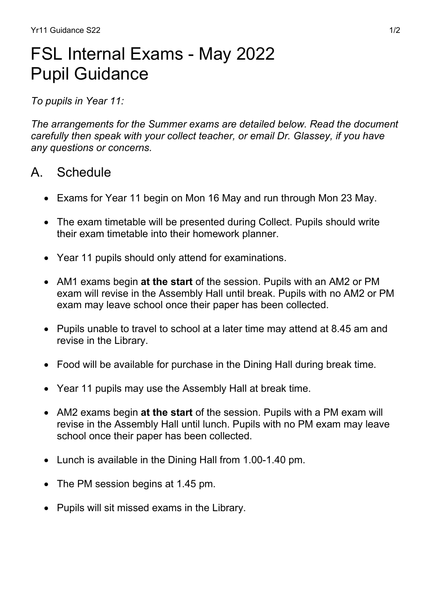# FSL Internal Exams - May 2022 Pupil Guidance

*To pupils in Year 11:*

*The arrangements for the Summer exams are detailed below. Read the document carefully then speak with your collect teacher, or email Dr. Glassey, if you have any questions or concerns.*

## A. Schedule

- Exams for Year 11 begin on Mon 16 May and run through Mon 23 May.
- The exam timetable will be presented during Collect. Pupils should write their exam timetable into their homework planner.
- Year 11 pupils should only attend for examinations.
- AM1 exams begin **at the start** of the session. Pupils with an AM2 or PM exam will revise in the Assembly Hall until break. Pupils with no AM2 or PM exam may leave school once their paper has been collected.
- Pupils unable to travel to school at a later time may attend at 8.45 am and revise in the Library.
- Food will be available for purchase in the Dining Hall during break time.
- Year 11 pupils may use the Assembly Hall at break time.
- AM2 exams begin **at the start** of the session. Pupils with a PM exam will revise in the Assembly Hall until lunch. Pupils with no PM exam may leave school once their paper has been collected.
- Lunch is available in the Dining Hall from 1.00-1.40 pm.
- The PM session begins at 1.45 pm.
- Pupils will sit missed exams in the Library.